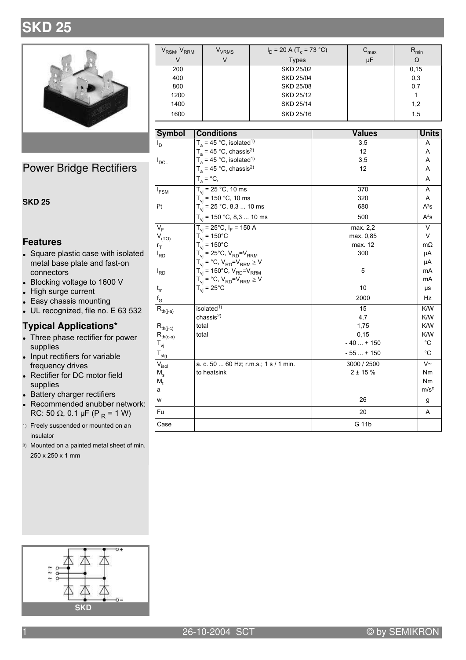# **SKD 25**



Power Bridge Rectifiers

#### **SKD 25**

#### **Features**

- Square plastic case with isolated metal base plate and fast-on connectors
- Blocking voltage to 1600 V
- High surge current
- Easy chassis mounting
- $\bullet$  UL recognized, file no. E 63 532

### **Typical Applications\***

- Three phase rectifier for power supplies
- . Input rectifiers for variable frequency drives
- Rectifier for DC motor field supplies
- Battery charger rectifiers
- Recommended snubber network:  $\text{RC: } 50 \Omega$ , 0.1 µF (P  $_{\text{R}}$  = 1 W)
- 1) Freely suspended or mounted on an insulator
- 2) Mounted on a painted metal sheet of min.  $250 \times 250 \times 1$  mm

| V <sub>RSM</sub> , V <sub>RRM</sub> | V <sub>VRMS</sub> | $I_D$ = 20 A (T <sub>c</sub> = 73 °C) | $\mathord{\sim_{\mathsf{max}}}$ | m <sub>in</sub> |
|-------------------------------------|-------------------|---------------------------------------|---------------------------------|-----------------|
| V                                   | V                 | <b>Types</b>                          | μF                              | Ω               |
| 200                                 |                   | <b>SKD 25/02</b>                      |                                 | 0, 15           |
| 400                                 |                   | <b>SKD 25/04</b>                      |                                 | 0,3             |
| 800                                 |                   | <b>SKD 25/08</b>                      |                                 | 0,7             |
| 1200                                |                   | SKD 25/12                             |                                 |                 |
| 1400                                |                   | SKD 25/14                             |                                 | 1,2             |
| 1600                                |                   | SKD 25/16                             |                                 | 1,5             |

| <b>Symbol</b>                           | <b>Conditions</b>                                  | <b>Values</b> | <b>Units</b>      |
|-----------------------------------------|----------------------------------------------------|---------------|-------------------|
| I <sub>D</sub>                          | $T_a$ = 45 °C, isolated <sup>1)</sup>              | 3,5           | A                 |
|                                         | $T_a$ = 45 °C, chassis <sup>2)</sup>               | 12            | Α                 |
| $I_{DCL}$                               | $T_a$ = 45 °C, isolated <sup>1)</sup>              | 3,5           | Α                 |
|                                         | $T_a$ = 45 °C, chassis <sup>2)</sup>               | 12            | A                 |
|                                         | $T_a = \text{°C},$                                 |               | Α                 |
| $I_{FSM}$                               | $T_{vi}$ = 25 °C, 10 ms                            | 370           | A                 |
|                                         | $T_{vi}$ = 150 °C, 10 ms                           | 320           | A                 |
| i <sup>2</sup> t                        | $T_{vi}$ = 25 °C, 8,3  10 ms                       | 680           | $A^2s$            |
|                                         | $T_{vi}$ = 150 °C, 8,3  10 ms                      | 500           | $A^2S$            |
| $V_F$                                   | $T_{vi}$ = 25°C, $I_F$ = 150 A                     | max. 2,2      | $\vee$            |
| $V_{(TO)}$                              | $T_{vi}$ = 150°C                                   | max. 0,85     | V                 |
| $r_T$                                   | $T_{vi}$ = 150°C                                   | max. 12       | $m\Omega$         |
| $I_{RD}$                                | $T_{vi}$ = 25°C, $V_{RD}$ = $V_{RRM}$              | 300           | μA                |
|                                         | $T_{vi} = {}^{\circ}C$ , $V_{RD} = V_{RRM} \geq V$ |               | μA                |
| I <sub>RD</sub>                         | $T_{vi}$ = 150°C, $V_{RD}$ = $V_{RRM}$             | 5             | mA                |
|                                         | $T_{vi} = {}^{\circ}C$ , $V_{RD} = V_{RRM} \geq V$ |               | mA                |
| $t_{rr}$                                | $T_{vi}$ = 25°C                                    | 10            | μs                |
| $f_G$                                   |                                                    | 2000          | Hz                |
| $\mathsf{R}_{\mathsf{th}(j\text{-}a)}$  | isolated $1$ )                                     | 15            | K/W               |
|                                         | chassis <sup>2</sup>                               | 4,7           | K/W               |
| $R_{th(j-c)}$                           | total                                              | 1,75          | K/W               |
| $R_{th(c-s)}$                           | total                                              | 0,15          | K/W               |
| T <sub>vj</sub>                         |                                                    | $-40+150$     | $^{\circ}C$       |
| $\mathsf{T}_{\sf stg}$                  |                                                    | $-55+150$     | $^{\circ}C$       |
| $\overline{\mathsf{V}}_{\mathsf{isol}}$ | a. c. 50  60 Hz; r.m.s.; 1 s / 1 min.              | 3000 / 2500   | $\overline{\vee}$ |
| $M_{\rm s}$                             | to heatsink                                        | $2 + 15%$     | Nm                |
| M,                                      |                                                    |               | Nm                |
| a                                       |                                                    |               | m/s <sup>2</sup>  |
| W                                       |                                                    | 26            | g                 |
| Fu                                      |                                                    | 20            | A                 |
| Case                                    |                                                    | G 11b         |                   |

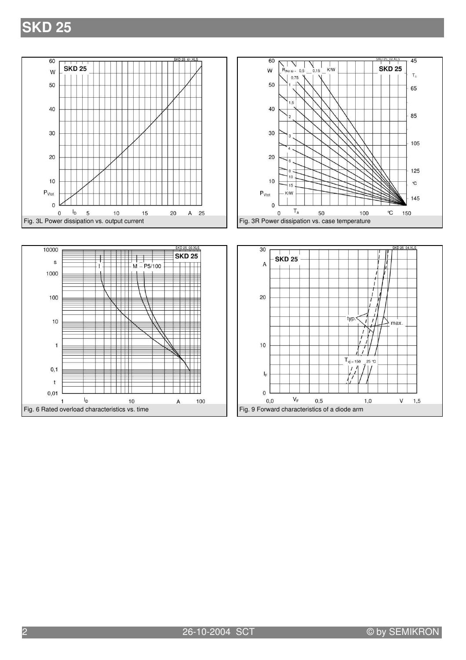## **SKD 25**